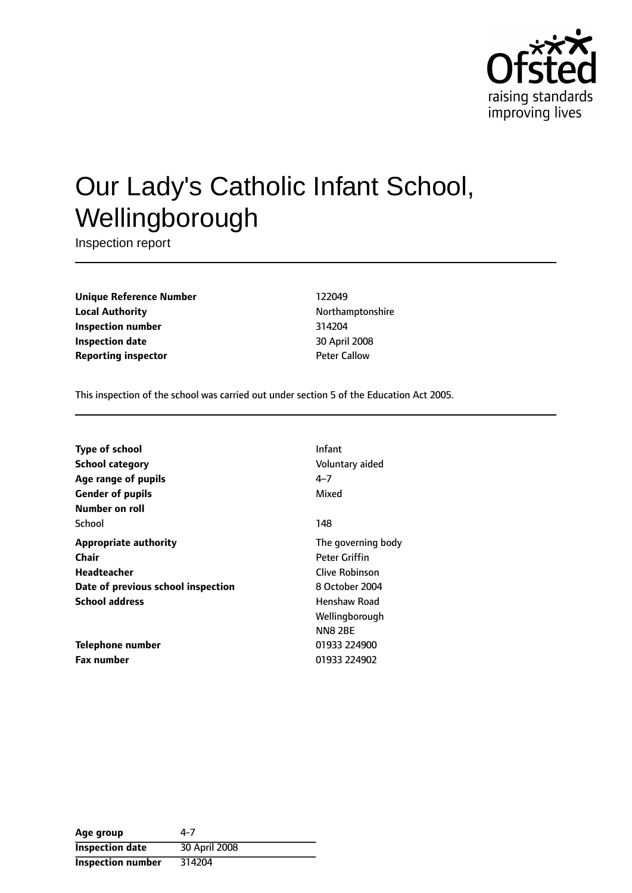

# Our Lady's Catholic Infant School, Wellingborough

Inspection report

**Unique Reference Number** 122049 **Local Authority Northamptonshire Inspection number** 314204 **Inspection date** 30 April 2008 **Reporting inspector Callow** Peter Callow

This inspection of the school was carried out under section 5 of the Education Act 2005.

| <b>Type of school</b>              | Infant              |
|------------------------------------|---------------------|
| <b>School category</b>             | Voluntary aided     |
| Age range of pupils                | $4 - 7$             |
| <b>Gender of pupils</b>            | Mixed               |
| Number on roll                     |                     |
| School                             | 148                 |
| <b>Appropriate authority</b>       | The governing body  |
| Chair                              | Peter Griffin       |
| <b>Headteacher</b>                 | Clive Robinson      |
| Date of previous school inspection | 8 October 2004      |
| <b>School address</b>              | <b>Henshaw Road</b> |
|                                    | Wellingborough      |
|                                    | <b>NN8 2BE</b>      |
| Telephone number                   | 01933 224900        |
| <b>Fax number</b>                  | 01933 224902        |

| Age group                | 4-7           |
|--------------------------|---------------|
| <b>Inspection date</b>   | 30 April 2008 |
| <b>Inspection number</b> | 314204        |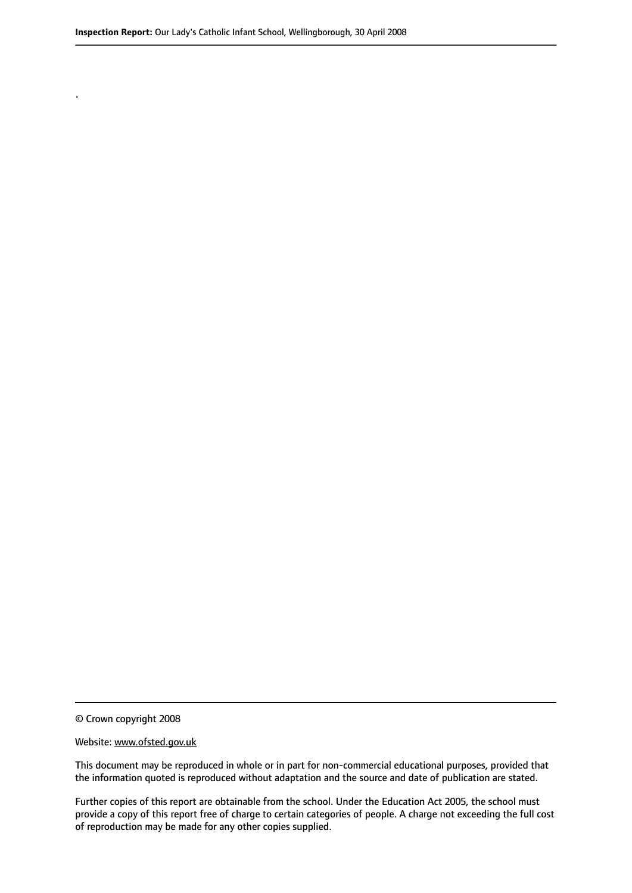© Crown copyright 2008

.

#### Website: www.ofsted.gov.uk

This document may be reproduced in whole or in part for non-commercial educational purposes, provided that the information quoted is reproduced without adaptation and the source and date of publication are stated.

Further copies of this report are obtainable from the school. Under the Education Act 2005, the school must provide a copy of this report free of charge to certain categories of people. A charge not exceeding the full cost of reproduction may be made for any other copies supplied.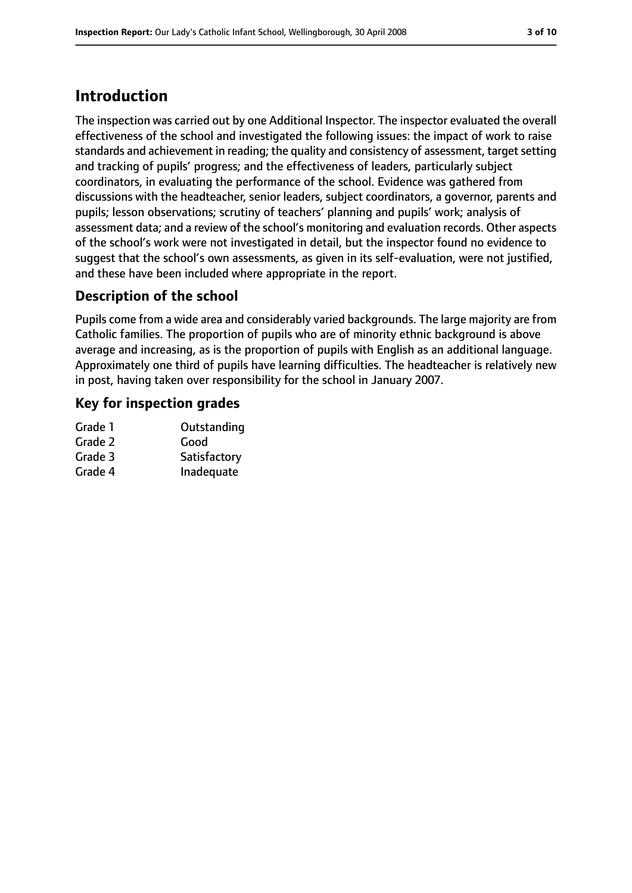# **Introduction**

The inspection was carried out by one Additional Inspector. The inspector evaluated the overall effectiveness of the school and investigated the following issues: the impact of work to raise standards and achievement in reading; the quality and consistency of assessment, target setting and tracking of pupils' progress; and the effectiveness of leaders, particularly subject coordinators, in evaluating the performance of the school. Evidence was gathered from discussions with the headteacher, senior leaders, subject coordinators, a governor, parents and pupils; lesson observations; scrutiny of teachers' planning and pupils' work; analysis of assessment data; and a review of the school's monitoring and evaluation records. Other aspects of the school's work were not investigated in detail, but the inspector found no evidence to suggest that the school's own assessments, as given in its self-evaluation, were not justified, and these have been included where appropriate in the report.

## **Description of the school**

Pupils come from a wide area and considerably varied backgrounds. The large majority are from Catholic families. The proportion of pupils who are of minority ethnic background is above average and increasing, as is the proportion of pupils with English as an additional language. Approximately one third of pupils have learning difficulties. The headteacher is relatively new in post, having taken over responsibility for the school in January 2007.

#### **Key for inspection grades**

| Grade 1 | Outstanding  |
|---------|--------------|
| Grade 2 | Good         |
| Grade 3 | Satisfactory |
| Grade 4 | Inadequate   |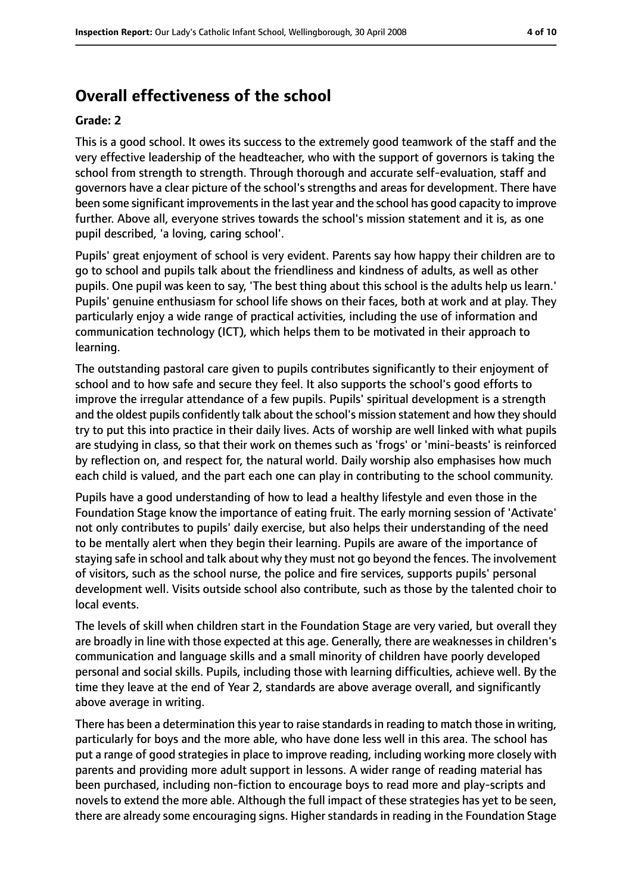# **Overall effectiveness of the school**

#### **Grade: 2**

This is a good school. It owes its success to the extremely good teamwork of the staff and the very effective leadership of the headteacher, who with the support of governors is taking the school from strength to strength. Through thorough and accurate self-evaluation, staff and governors have a clear picture of the school's strengths and areas for development. There have been some significant improvements in the last year and the school has good capacity to improve further. Above all, everyone strives towards the school's mission statement and it is, as one pupil described, 'a loving, caring school'.

Pupils' great enjoyment of school is very evident. Parents say how happy their children are to go to school and pupils talk about the friendliness and kindness of adults, as well as other pupils. One pupil was keen to say, 'The best thing about this school is the adults help us learn.' Pupils' genuine enthusiasm for school life shows on their faces, both at work and at play. They particularly enjoy a wide range of practical activities, including the use of information and communication technology (ICT), which helps them to be motivated in their approach to learning.

The outstanding pastoral care given to pupils contributes significantly to their enjoyment of school and to how safe and secure they feel. It also supports the school's good efforts to improve the irregular attendance of a few pupils. Pupils' spiritual development is a strength and the oldest pupils confidently talk about the school's mission statement and how they should try to put this into practice in their daily lives. Acts of worship are well linked with what pupils are studying in class, so that their work on themes such as 'frogs' or 'mini-beasts' is reinforced by reflection on, and respect for, the natural world. Daily worship also emphasises how much each child is valued, and the part each one can play in contributing to the school community.

Pupils have a good understanding of how to lead a healthy lifestyle and even those in the Foundation Stage know the importance of eating fruit. The early morning session of 'Activate' not only contributes to pupils' daily exercise, but also helps their understanding of the need to be mentally alert when they begin their learning. Pupils are aware of the importance of staying safe in school and talk about why they must not go beyond the fences. The involvement of visitors, such as the school nurse, the police and fire services, supports pupils' personal development well. Visits outside school also contribute, such as those by the talented choir to local events.

The levels of skill when children start in the Foundation Stage are very varied, but overall they are broadly in line with those expected at this age. Generally, there are weaknesses in children's communication and language skills and a small minority of children have poorly developed personal and social skills. Pupils, including those with learning difficulties, achieve well. By the time they leave at the end of Year 2, standards are above average overall, and significantly above average in writing.

There has been a determination this year to raise standards in reading to match those in writing, particularly for boys and the more able, who have done less well in this area. The school has put a range of good strategies in place to improve reading, including working more closely with parents and providing more adult support in lessons. A wider range of reading material has been purchased, including non-fiction to encourage boys to read more and play-scripts and novels to extend the more able. Although the full impact of these strategies has yet to be seen, there are already some encouraging signs. Higher standards in reading in the Foundation Stage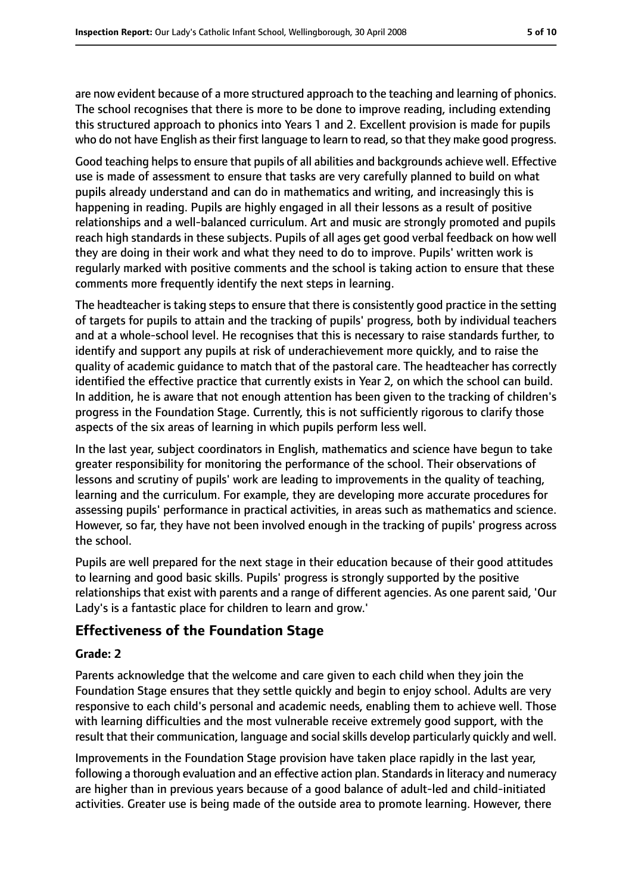are now evident because of a more structured approach to the teaching and learning of phonics. The school recognises that there is more to be done to improve reading, including extending this structured approach to phonics into Years 1 and 2. Excellent provision is made for pupils who do not have English as their first language to learn to read, so that they make good progress.

Good teaching helps to ensure that pupils of all abilities and backgrounds achieve well. Effective use is made of assessment to ensure that tasks are very carefully planned to build on what pupils already understand and can do in mathematics and writing, and increasingly this is happening in reading. Pupils are highly engaged in all their lessons as a result of positive relationships and a well-balanced curriculum. Art and music are strongly promoted and pupils reach high standards in these subjects. Pupils of all ages get good verbal feedback on how well they are doing in their work and what they need to do to improve. Pupils' written work is regularly marked with positive comments and the school is taking action to ensure that these comments more frequently identify the next steps in learning.

The headteacher is taking steps to ensure that there is consistently good practice in the setting of targets for pupils to attain and the tracking of pupils' progress, both by individual teachers and at a whole-school level. He recognises that this is necessary to raise standards further, to identify and support any pupils at risk of underachievement more quickly, and to raise the quality of academic guidance to match that of the pastoral care. The headteacher has correctly identified the effective practice that currently exists in Year 2, on which the school can build. In addition, he is aware that not enough attention has been given to the tracking of children's progress in the Foundation Stage. Currently, this is not sufficiently rigorous to clarify those aspects of the six areas of learning in which pupils perform less well.

In the last year, subject coordinators in English, mathematics and science have begun to take greater responsibility for monitoring the performance of the school. Their observations of lessons and scrutiny of pupils' work are leading to improvements in the quality of teaching, learning and the curriculum. For example, they are developing more accurate procedures for assessing pupils' performance in practical activities, in areas such as mathematics and science. However, so far, they have not been involved enough in the tracking of pupils' progress across the school.

Pupils are well prepared for the next stage in their education because of their good attitudes to learning and good basic skills. Pupils' progress is strongly supported by the positive relationships that exist with parents and a range of different agencies. As one parent said, 'Our Lady's is a fantastic place for children to learn and grow.'

## **Effectiveness of the Foundation Stage**

#### **Grade: 2**

Parents acknowledge that the welcome and care given to each child when they join the Foundation Stage ensures that they settle quickly and begin to enjoy school. Adults are very responsive to each child's personal and academic needs, enabling them to achieve well. Those with learning difficulties and the most vulnerable receive extremely good support, with the result that their communication, language and social skills develop particularly quickly and well.

Improvements in the Foundation Stage provision have taken place rapidly in the last year, following a thorough evaluation and an effective action plan. Standards in literacy and numeracy are higher than in previous years because of a good balance of adult-led and child-initiated activities. Greater use is being made of the outside area to promote learning. However, there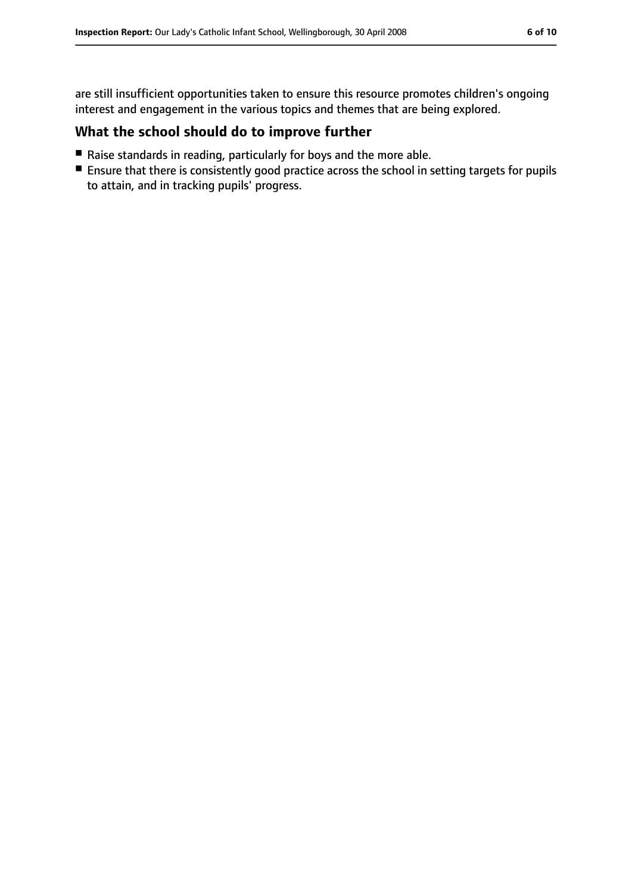are still insufficient opportunities taken to ensure this resource promotes children's ongoing interest and engagement in the various topics and themes that are being explored.

#### **What the school should do to improve further**

- Raise standards in reading, particularly for boys and the more able.
- Ensure that there is consistently good practice across the school in setting targets for pupils to attain, and in tracking pupils' progress.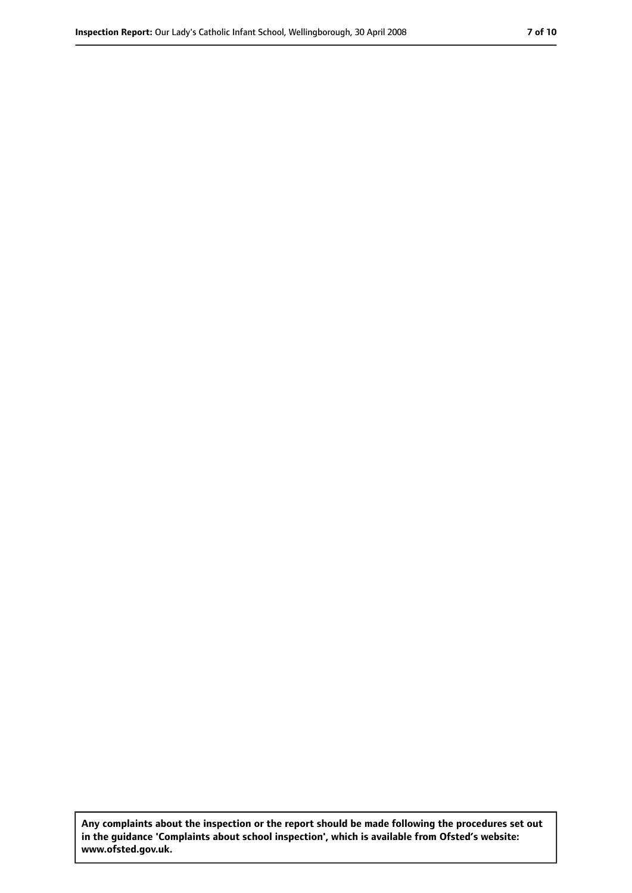**Any complaints about the inspection or the report should be made following the procedures set out in the guidance 'Complaints about school inspection', which is available from Ofsted's website: www.ofsted.gov.uk.**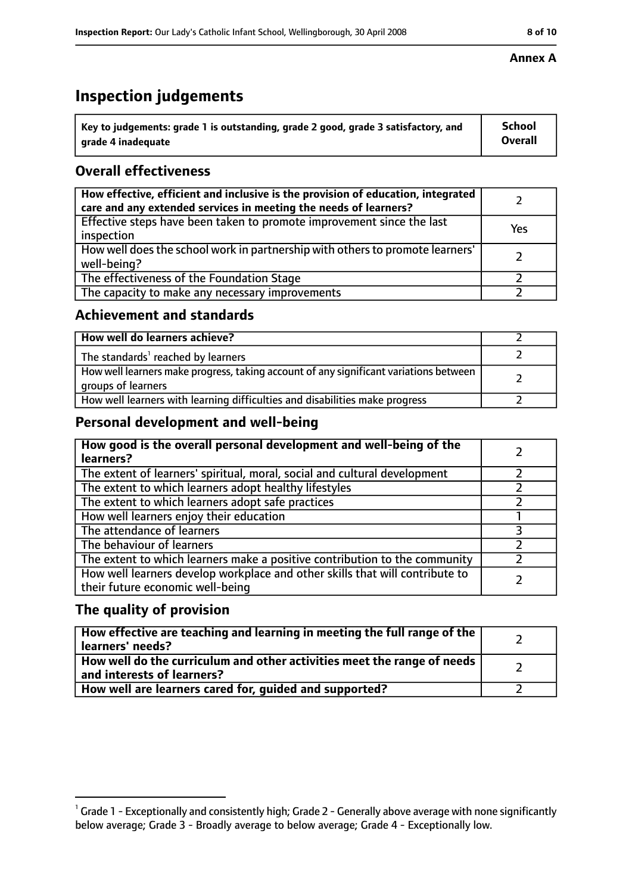# **Inspection judgements**

| $^{\backprime}$ Key to judgements: grade 1 is outstanding, grade 2 good, grade 3 satisfactory, and | <b>School</b>  |
|----------------------------------------------------------------------------------------------------|----------------|
| arade 4 inadeguate                                                                                 | <b>Overall</b> |

## **Overall effectiveness**

| How effective, efficient and inclusive is the provision of education, integrated<br>care and any extended services in meeting the needs of learners? |     |
|------------------------------------------------------------------------------------------------------------------------------------------------------|-----|
| Effective steps have been taken to promote improvement since the last<br>inspection                                                                  | Yes |
| How well does the school work in partnership with others to promote learners'<br>well-being?                                                         |     |
| The effectiveness of the Foundation Stage                                                                                                            |     |
| The capacity to make any necessary improvements                                                                                                      |     |

#### **Achievement and standards**

| How well do learners achieve?                                                                               |  |
|-------------------------------------------------------------------------------------------------------------|--|
| The standards <sup>1</sup> reached by learners                                                              |  |
| How well learners make progress, taking account of any significant variations between<br>groups of learners |  |
| How well learners with learning difficulties and disabilities make progress                                 |  |

## **Personal development and well-being**

| How good is the overall personal development and well-being of the<br>learners?                                  |  |
|------------------------------------------------------------------------------------------------------------------|--|
| The extent of learners' spiritual, moral, social and cultural development                                        |  |
| The extent to which learners adopt healthy lifestyles                                                            |  |
| The extent to which learners adopt safe practices                                                                |  |
| How well learners enjoy their education                                                                          |  |
| The attendance of learners                                                                                       |  |
| The behaviour of learners                                                                                        |  |
| The extent to which learners make a positive contribution to the community                                       |  |
| How well learners develop workplace and other skills that will contribute to<br>their future economic well-being |  |

## **The quality of provision**

| How effective are teaching and learning in meeting the full range of the<br>learners' needs?          |  |
|-------------------------------------------------------------------------------------------------------|--|
| How well do the curriculum and other activities meet the range of needs<br>and interests of learners? |  |
| How well are learners cared for, guided and supported?                                                |  |

#### **Annex A**

 $^1$  Grade 1 - Exceptionally and consistently high; Grade 2 - Generally above average with none significantly below average; Grade 3 - Broadly average to below average; Grade 4 - Exceptionally low.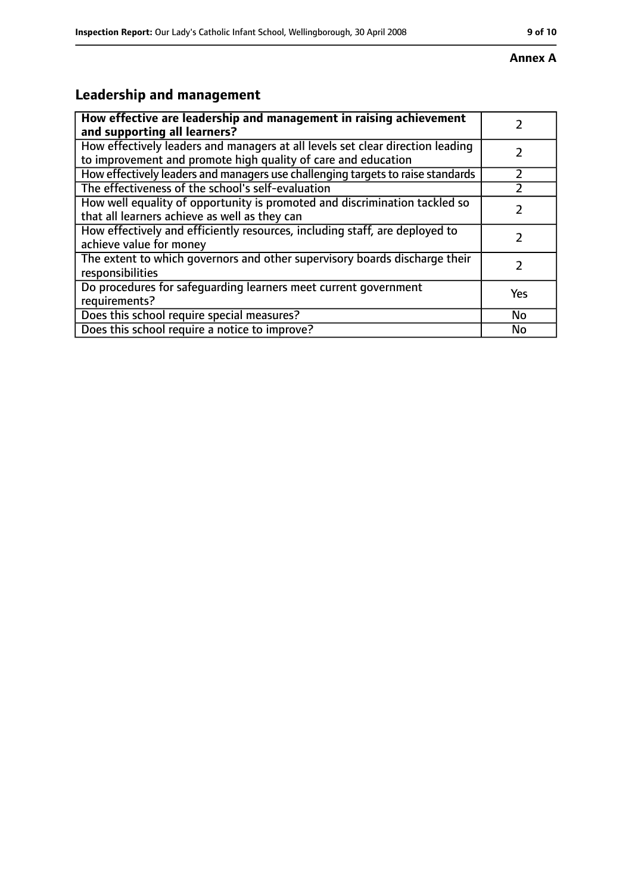#### **Annex A**

# **Leadership and management**

| How effective are leadership and management in raising achievement                                                                              |           |
|-------------------------------------------------------------------------------------------------------------------------------------------------|-----------|
| and supporting all learners?                                                                                                                    |           |
| How effectively leaders and managers at all levels set clear direction leading<br>to improvement and promote high quality of care and education |           |
| How effectively leaders and managers use challenging targets to raise standards                                                                 |           |
| The effectiveness of the school's self-evaluation                                                                                               |           |
| How well equality of opportunity is promoted and discrimination tackled so<br>that all learners achieve as well as they can                     |           |
| How effectively and efficiently resources, including staff, are deployed to<br>achieve value for money                                          | 7         |
| The extent to which governors and other supervisory boards discharge their<br>responsibilities                                                  | フ         |
| Do procedures for safequarding learners meet current government<br>requirements?                                                                | Yes       |
| Does this school require special measures?                                                                                                      | <b>No</b> |
| Does this school require a notice to improve?                                                                                                   | No        |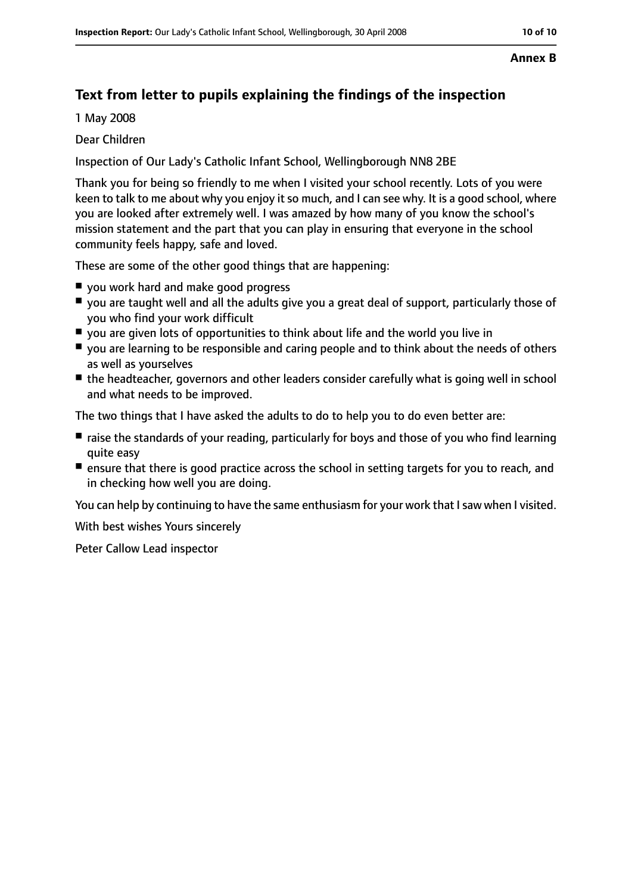# **Text from letter to pupils explaining the findings of the inspection**

1 May 2008

#### Dear Children

Inspection of Our Lady's Catholic Infant School, Wellingborough NN8 2BE

Thank you for being so friendly to me when I visited your school recently. Lots of you were keen to talk to me about why you enjoy it so much, and I can see why. It is a good school, where you are looked after extremely well. I was amazed by how many of you know the school's mission statement and the part that you can play in ensuring that everyone in the school community feels happy, safe and loved.

These are some of the other good things that are happening:

- you work hard and make good progress
- you are taught well and all the adults give you a great deal of support, particularly those of you who find your work difficult
- $\blacksquare$  you are given lots of opportunities to think about life and the world you live in
- you are learning to be responsible and caring people and to think about the needs of others as well as yourselves
- the headteacher, governors and other leaders consider carefully what is going well in school and what needs to be improved.

The two things that I have asked the adults to do to help you to do even better are:

- raise the standards of your reading, particularly for boys and those of you who find learning quite easy
- ensure that there is good practice across the school in setting targets for you to reach, and in checking how well you are doing.

You can help by continuing to have the same enthusiasm for your work that Isaw when I visited.

With best wishes Yours sincerely

Peter Callow Lead inspector